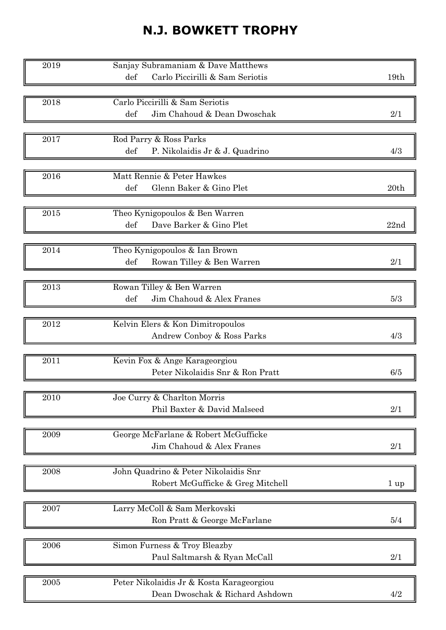## N.J. BOWKETT TROPHY

| 2019              | Sanjay Subramaniam & Dave Matthews                              |                |
|-------------------|-----------------------------------------------------------------|----------------|
|                   | Carlo Piccirilli & Sam Seriotis<br>def                          | 19th           |
|                   |                                                                 |                |
| 2018              | Carlo Piccirilli & Sam Seriotis                                 |                |
|                   | def<br>Jim Chahoud & Dean Dwoschak                              | 2/1            |
|                   |                                                                 |                |
| 2017              | Rod Parry & Ross Parks<br>def<br>P. Nikolaidis Jr & J. Quadrino | 4/3            |
|                   |                                                                 |                |
| 2016              | Matt Rennie & Peter Hawkes                                      |                |
|                   | def<br>Glenn Baker & Gino Plet                                  | 20th           |
|                   |                                                                 |                |
| 2015              | Theo Kynigopoulos & Ben Warren                                  |                |
|                   | Dave Barker & Gino Plet<br>def                                  | 22nd           |
| 2014              | Theo Kynigopoulos & Ian Brown                                   |                |
|                   | def<br>Rowan Tilley & Ben Warren                                | 2/1            |
|                   |                                                                 |                |
| 2013              | Rowan Tilley & Ben Warren                                       |                |
|                   | Jim Chahoud & Alex Franes<br>def                                | 5/3            |
|                   |                                                                 |                |
| 2012              | Kelvin Elers & Kon Dimitropoulos                                |                |
|                   | Andrew Conboy & Ross Parks                                      | 4/3            |
| 2011              | Kevin Fox & Ange Karageorgiou                                   |                |
|                   | Peter Nikolaidis Snr & Ron Pratt                                | 6/5            |
|                   |                                                                 |                |
| 2010              | Joe Curry & Charlton Morris                                     |                |
|                   | Phil Baxter & David Malseed                                     | 2/1            |
| 2009              | George McFarlane & Robert McGufficke                            |                |
|                   | Jim Chahoud & Alex Franes                                       | 2/1            |
|                   |                                                                 |                |
| 2008              | John Quadrino & Peter Nikolaidis Snr                            |                |
|                   | Robert McGufficke & Greg Mitchell                               | $1 \text{ up}$ |
|                   |                                                                 |                |
| 2007              | Larry McColl & Sam Merkovski                                    |                |
|                   | Ron Pratt & George McFarlane                                    | 5/4            |
| 2006              | Simon Furness & Troy Bleazby                                    |                |
|                   | Paul Saltmarsh & Ryan McCall                                    | 2/1            |
|                   |                                                                 |                |
| $\overline{2005}$ | Peter Nikolaidis Jr & Kosta Karageorgiou                        |                |
|                   | Dean Dwoschak & Richard Ashdown                                 | 4/2            |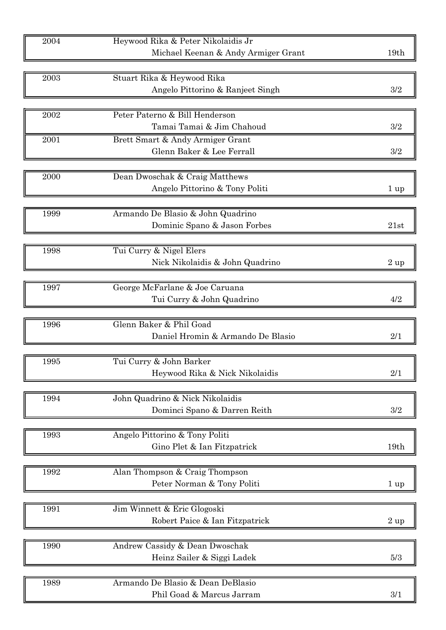| 2004 | Heywood Rika & Peter Nikolaidis Jr                        | 19th           |
|------|-----------------------------------------------------------|----------------|
|      | Michael Keenan & Andy Armiger Grant                       |                |
| 2003 | Stuart Rika & Heywood Rika                                |                |
|      | Angelo Pittorino & Ranjeet Singh                          | 3/2            |
|      |                                                           |                |
| 2002 | Peter Paterno & Bill Henderson                            |                |
|      | Tamai Tamai & Jim Chahoud                                 | 3/2            |
| 2001 | Brett Smart & Andy Armiger Grant                          |                |
|      | Glenn Baker & Lee Ferrall                                 | 3/2            |
|      |                                                           |                |
| 2000 | Dean Dwoschak & Craig Matthews                            |                |
|      | Angelo Pittorino & Tony Politi                            | $1 \text{ up}$ |
|      |                                                           |                |
| 1999 | Armando De Blasio & John Quadrino                         |                |
|      | Dominic Spano & Jason Forbes                              | 21st           |
| 1998 | Tui Curry & Nigel Elers                                   |                |
|      | Nick Nikolaidis & John Quadrino                           | $2$ up         |
|      |                                                           |                |
| 1997 | George McFarlane & Joe Caruana                            |                |
|      | Tui Curry & John Quadrino                                 | 4/2            |
|      |                                                           |                |
| 1996 | Glenn Baker & Phil Goad                                   |                |
|      | Daniel Hromin & Armando De Blasio                         | 2/1            |
| 1995 |                                                           |                |
|      | Tui Curry & John Barker<br>Heywood Rika & Nick Nikolaidis | 2/1            |
|      |                                                           |                |
| 1994 | John Quadrino & Nick Nikolaidis                           |                |
|      | Dominci Spano & Darren Reith                              | 3/2            |
|      |                                                           |                |
| 1993 | Angelo Pittorino & Tony Politi                            |                |
|      | Gino Plet & Ian Fitzpatrick                               | 19th           |
|      |                                                           |                |
| 1992 | Alan Thompson & Craig Thompson                            |                |
|      | Peter Norman & Tony Politi                                | $1 \text{ up}$ |
| 1991 | Jim Winnett & Eric Glogoski                               |                |
|      | Robert Paice & Ian Fitzpatrick                            | $2 \text{ up}$ |
|      |                                                           |                |
| 1990 | Andrew Cassidy & Dean Dwoschak                            |                |
|      | Heinz Sailer & Siggi Ladek                                | 5/3            |
|      |                                                           |                |
| 1989 | Armando De Blasio & Dean DeBlasio                         |                |
|      | Phil Goad & Marcus Jarram                                 | 3/1            |